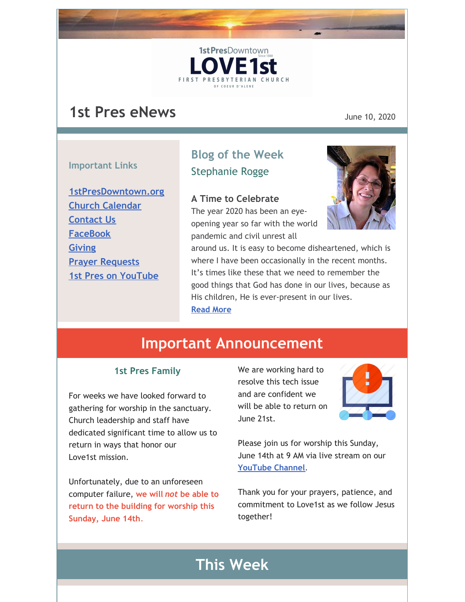# **1st Pres eNews** June 10, 2020

#### **Important Links**

**[1stPresDowntown.org](http://www.1stpresdowntown.org/) Church [Calendar](http://www.1stpresdowntown.org/calendar/) [Contact](http://www.1stpresdowntown.org/contact/) Us [FaceBook](https://www.facebook.com/cdadowntownchurch/) [Giving](https://www.eservicepayments.com/cgi-bin/Vanco_ver3.vps?appver3=Fi1giPL8kwX_Oe1AO50jRhFtjI3jPush-TiV_cWeMqos4NSQukCYDzKLUtTTUlsf2EvVVAEjqawDomKT1pbouWbIw4yEvEZZftNOfs1-eIM%3D&ver=3) Prayer [Requests](http://www.1stpresdowntown.org/contact/) 1st Pres on [YouTube](https://www.youtube.com/channel/UCCfruZriuZfS2hVar79nXbQ)**

## **Blog of the Week** Stephanie Rogge

1st PresDowntown

**FIRST PRESB** 

#### **A Time to Celebrate**

The year 2020 has been an eyeopening year so far with the world pandemic and civil unrest all



around us. It is easy to become disheartened, which is where I have been occasionally in the recent months. It's times like these that we need to remember the good things that God has done in our lives, because as His children, He is ever-present in our lives. **[Read](http://www.1stpresdowntown.org/a-time-to-celebrate/) More**

# **Important Announcement**

#### **1st Pres Family**

For weeks we have looked forward to gathering for worship in the sanctuary. Church leadership and staff have dedicated significant time to allow us to return in ways that honor our Love1st mission.

Unfortunately, due to an unforeseen computer failure, **we will** *not* **be able to return to the building for worship this Sunday, June 14th**.

We are working hard to resolve this tech issue and are confident we will be able to return on June 21st.



Please join us for worship this Sunday, June 14th at 9 AM via live stream on our **[YouTube](https://www.youtube.com/channel/UCCfruZriuZfS2hVar79nXbQ) Channel**.

Thank you for your prayers, patience, and commitment to Love1st as we follow Jesus together!

## **This Week**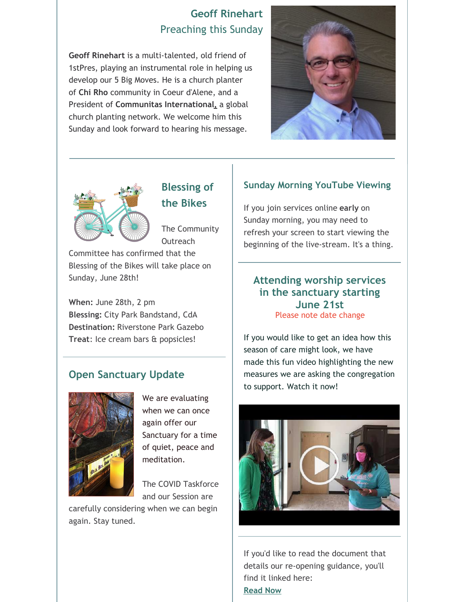### **Geoff Rinehart** Preaching this Sunday

**Geoff Rinehart** is a multi-talented, old friend of 1stPres, playing an instrumental role in helping us develop our 5 Big Moves. He is a church planter of **Chi [Rho](https://www.cr-community.org/)** community in Coeur d'Alene, and a President of **Communitas [International,](https://gocommunitas.org/)** a global church planting network. We welcome him this Sunday and look forward to hearing his message.





**Blessing of the Bikes**

The Community Outreach

Committee has confirmed that the Blessing of the Bikes will take place on Sunday, June 28th!

**When:** June 28th, 2 pm **Blessing:** City Park Bandstand, CdA **Destination:** Riverstone Park Gazebo **Treat**: Ice cream bars & popsicles!

### **Open Sanctuary Update**



We are evaluating when we can once again offer our Sanctuary for a time of quiet, peace and meditation.

The COVID Taskforce and our Session are

carefully considering when we can begin again. Stay tuned.

#### **Sunday Morning YouTube Viewing**

If you join services online **early** on Sunday morning, you may need to refresh your screen to start viewing the beginning of the live-stream. It's a thing.

#### **Attending worship services in the sanctuary starting June 21st** Please note date change

If you would like to get an idea how this season of care might look, we have made this fun video highlighting the new measures we are asking the congregation to support. Watch it now!



If you'd like to read the document that details our re-opening guidance, you'll find it linked here: **[Read](https://files.constantcontact.com/1d935adc001/16f87308-2245-4973-a3f5-d2729dff1ff3.pdf) Now**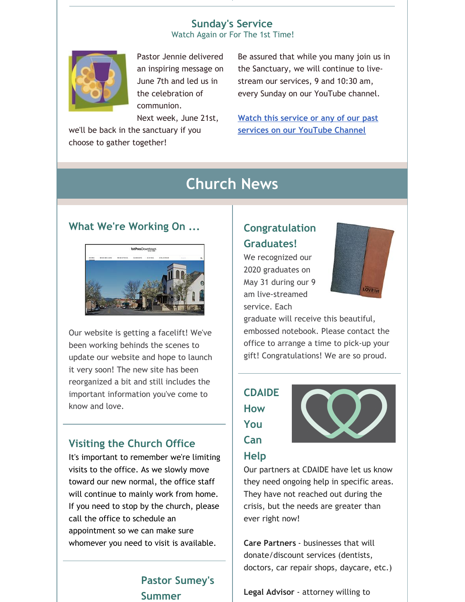## **Sunday's Service**

Watch Again or For The 1st Time!



Pastor Jennie delivered an inspiring message on June 7th and led us in the celebration of communion.

Next week, June 21st,

we'll be back in the sanctuary if you choose to gather together!

Be assured that while you many join us in the Sanctuary, we will continue to livestream our services, 9 and 10:30 am, every Sunday on our YouTube channel.

**Watch this service or any of our past services on our [YouTube](https://www.youtube.com/channel/UCCfruZriuZfS2hVar79nXbQ) Channel**

# **Church News**

#### **What We're Working On ...**



Our website is getting a facelift! We've been working behinds the scenes to update our website and hope to launch it very soon! The new site has been reorganized a bit and still includes the important information you've come to know and love.

### **Visiting the Church Office**

It's important to remember we're limiting visits to the office. As we slowly move toward our new normal, the office staff will continue to mainly work from home. If you need to stop by the church, please call the office to schedule an appointment so we can make sure whomever you need to visit is available.

### **Pastor Sumey's Summer**

## **Congratulation Graduates!**

We recognized our 2020 graduates on May 31 during our 9 am live-streamed service. Each



graduate will receive this beautiful, embossed notebook. Please contact the office to arrange a time to pick-up your gift! Congratulations! We are so proud.

## **CDAIDE How You Can**

**Help**



Our partners at CDAIDE have let us know they need ongoing help in specific areas. They have not reached out during the crisis, but the needs are greater than ever right now!

**Care Partners** - businesses that will donate/discount services (dentists, doctors, car repair shops, daycare, etc.)

**Legal Advisor** - attorney willing to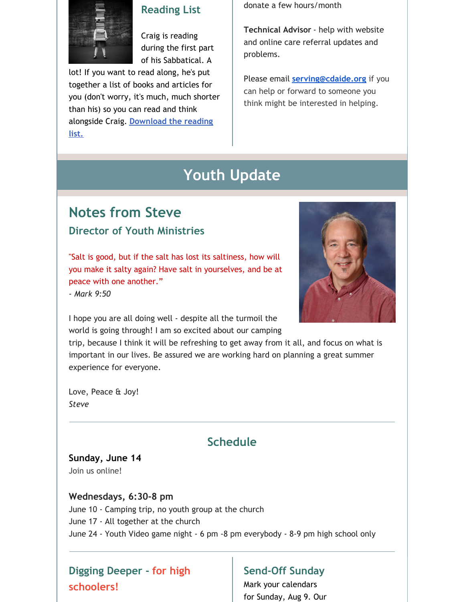

### **Reading List**

Craig is reading during the first part of his Sabbatical. A

lot! If you want to read along, he's put together a list of books and articles for you (don't worry, it's much, much shorter than his) so you can read and think alongside Craig. **[Download](https://files.constantcontact.com/1d935adc001/1abf8692-150f-4ac3-9390-c817944dc3ce.pdf) the reading list.**

donate a few hours/month

**Technical Advisor** - help with website and online care referral updates and problems.

Please email **[serving@cdaide.org](mailto:serving@cdaide.org)** if you can help or forward to someone you think might be interested in helping.

# **Youth Update**

## **Notes from Steve Director of Youth Ministries**

"Salt is good, but if the salt has lost its saltiness, how will you make it salty again? Have salt in yourselves, and be at peace with one another."

*- Mark 9:50*



I hope you are all doing well - despite all the turmoil the world is going through! I am so excited about our camping

trip, because I think it will be refreshing to get away from it all, and focus on what is important in our lives. Be assured we are working hard on planning a great summer experience for everyone.

Love, Peace & Joy! *Steve*

## **Schedule**

#### **Sunday, June 14** Join us online!

### **Wednesdays, 6:30-8 pm**

June 10 - Camping trip, no youth group at the church June 17 - All together at the church June 24 - Youth Video game night - 6 pm -8 pm everybody - 8-9 pm high school only

## **Digging Deeper - for high schoolers!**

### **Send-Off Sunday**

Mark your calendars for Sunday, Aug 9. Our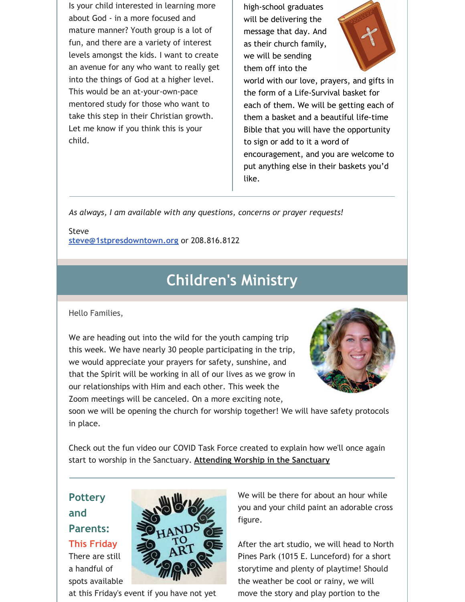Is your child interested in learning more about God - in a more focused and mature manner? Youth group is a lot of fun, and there are a variety of interest levels amongst the kids. I want to create an avenue for any who want to really get into the things of God at a higher level. This would be an at-your-own-pace mentored study for those who want to take this step in their Christian growth. Let me know if you think this is your child.

high-school graduates will be delivering the message that day. And as their church family, we will be sending them off into the



world with our love, prayers, and gifts in the form of a Life-Survival basket for each of them. We will be getting each of them a basket and a beautiful life-time Bible that you will have the opportunity to sign or add to it a word of encouragement, and you are welcome to put anything else in their baskets you'd like.

*As always, I am available with any questions, concerns or prayer requests!*

Steve **[steve@1stpresdowntown.org](mailto:steve@1stpresdowntown.org)** or 208.816.8122

## **Children's Ministry**

Hello Families,

We are heading out into the wild for the youth camping trip this week. We have nearly 30 people participating in the trip, we would appreciate your prayers for safety, sunshine, and that the Spirit will be working in all of our lives as we grow in our relationships with Him and each other. This week the Zoom meetings will be canceled. On a more exciting note,



soon we will be opening the church for worship together! We will have safety protocols in place.

Check out the fun video our COVID Task Force created to explain how we'll once again start to worship in the Sanctuary. **[Attending](https://www.youtube.com/watch?v=MEB6SAL9348) Worship in the Sanctuary**

### **Pottery and Parents:**

**This Friday**

There are still a handful of spots available



at this Friday's event if you have not yet

We will be there for about an hour while you and your child paint an adorable cross figure.

After the art studio, we will head to North Pines Park (1015 E. Lunceford) for a short storytime and plenty of playtime! Should the weather be cool or rainy, we will move the story and play portion to the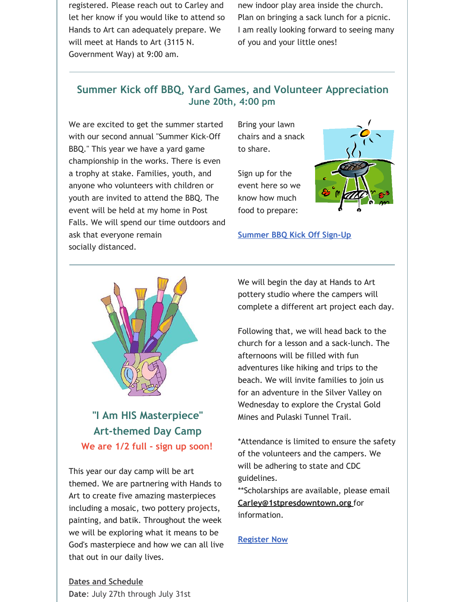registered. Please reach out to Carley and let her know if you would like to attend so Hands to Art can adequately prepare. We will meet at Hands to Art (3115 N. Government Way) at 9:00 am.

new indoor play area inside the church. Plan on bringing a sack lunch for a picnic. I am really looking forward to seeing many of you and your little ones!

### **Summer Kick off BBQ, Yard Games, and Volunteer Appreciation June 20th, 4:00 pm**

We are excited to get the summer started with our second annual "Summer Kick-Off BBQ." This year we have a yard game championship in the works. There is even a trophy at stake. Families, youth, and anyone who volunteers with children or youth are invited to attend the BBQ. The event will be held at my home in Post Falls. We will spend our time outdoors and ask that everyone remain socially distanced.

Bring your lawn chairs and a snack to share.

Sign up for the event here so we know how much food to prepare:



**[Summer](https://docs.google.com/spreadsheets/d/1OyqFOADt1Vpmx36o9iE64S0n3C3uG-37V0mgoMeFwTs/edit?usp=sharing) BBQ Kick Off Sign-Up**



**"I Am HIS Masterpiece" Art-themed Day Camp We are 1/2 full - sign up soon!**

This year our day camp will be art themed. We are partnering with Hands to Art to create five amazing masterpieces including a mosaic, two pottery projects, painting, and batik. Throughout the week we will be exploring what it means to be God's masterpiece and how we can all live that out in our daily lives.

We will begin the day at Hands to Art pottery studio where the campers will complete a different art project each day.

Following that, we will head back to the church for a lesson and a sack-lunch. The afternoons will be filled with fun adventures like hiking and trips to the beach. We will invite families to join us for an adventure in the Silver Valley on Wednesday to explore the Crystal Gold Mines and Pulaski Tunnel Trail.

\*Attendance is limited to ensure the safety of the volunteers and the campers. We will be adhering to state and CDC guidelines.

\*\*Scholarships are available, please email **[Carley@1stpresdowntown.org](mailto:Carley@1stpresdowntown.org)** for information.

**[Register](https://1stpres.churchcenter.com/registrations/events/429465) Now**

**Dates and Schedule Date**: July 27th through July 31st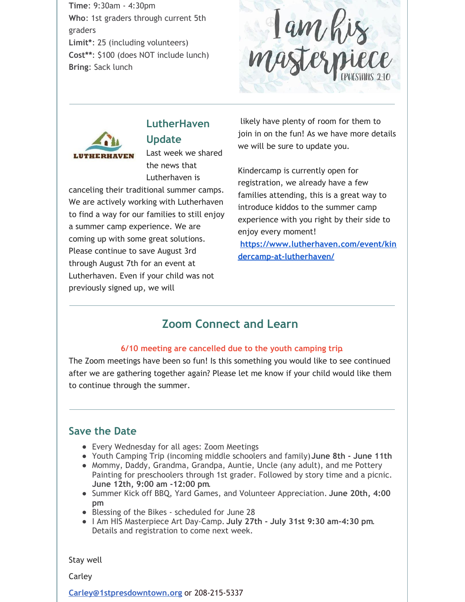**Time**: 9:30am - 4:30pm **Who**: 1st graders through current 5th graders **Limit\***: 25 (including volunteers) **Cost\*\***: \$100 (does NOT include lunch) **Bring**: Sack lunch

lam his<br>asterniece



## **LutherHaven**

**Update**

Last week we shared the news that Lutherhaven is

canceling their traditional summer camps. We are actively working with Lutherhaven to find a way for our families to still enjoy a summer camp experience. We are coming up with some great solutions. Please continue to save August 3rd through August 7th for an event at Lutherhaven. Even if your child was not previously signed up, we will

likely have plenty of room for them to join in on the fun! As we have more details we will be sure to update you.

Kindercamp is currently open for registration, we already have a few families attending, this is a great way to introduce kiddos to the summer camp experience with you right by their side to enjoy every moment! **[https://www.lutherhaven.com/event/kin](https://www.lutherhaven.com/event/kindercamp-at-lutherhaven/) dercamp-at-lutherhaven/**

### **Zoom Connect and Learn**

#### **6/10 meeting are cancelled due to the youth camping trip**.

The Zoom meetings have been so fun! Is this something you would like to see continued after we are gathering together again? Please let me know if your child would like them to continue through the summer.

### **Save the Date**

- Every Wednesday for all ages: Zoom Meetings
- Youth Camping Trip (incoming middle schoolers and family)**June 8th - June 11th**
- Mommy, Daddy, Grandma, Grandpa, Auntie, Uncle (any adult), and me Pottery Painting for preschoolers through 1st grader. Followed by story time and a picnic. **June 12th, 9:00 am -12:00 pm**.
- Summer Kick off BBQ, Yard Games, and Volunteer Appreciation. **June 20th, 4:00 pm**
- Blessing of the Bikes scheduled for June 28
- I Am HIS Masterpiece Art Day-Camp. **July 27th - July 31st 9:30 am-4:30 pm**. Details and registration to come next week.

Stay well

Carley

**[Carley@1stpresdowntown.org](mailto:Carley@1stpresdowntown.org)** or 208-215-5337